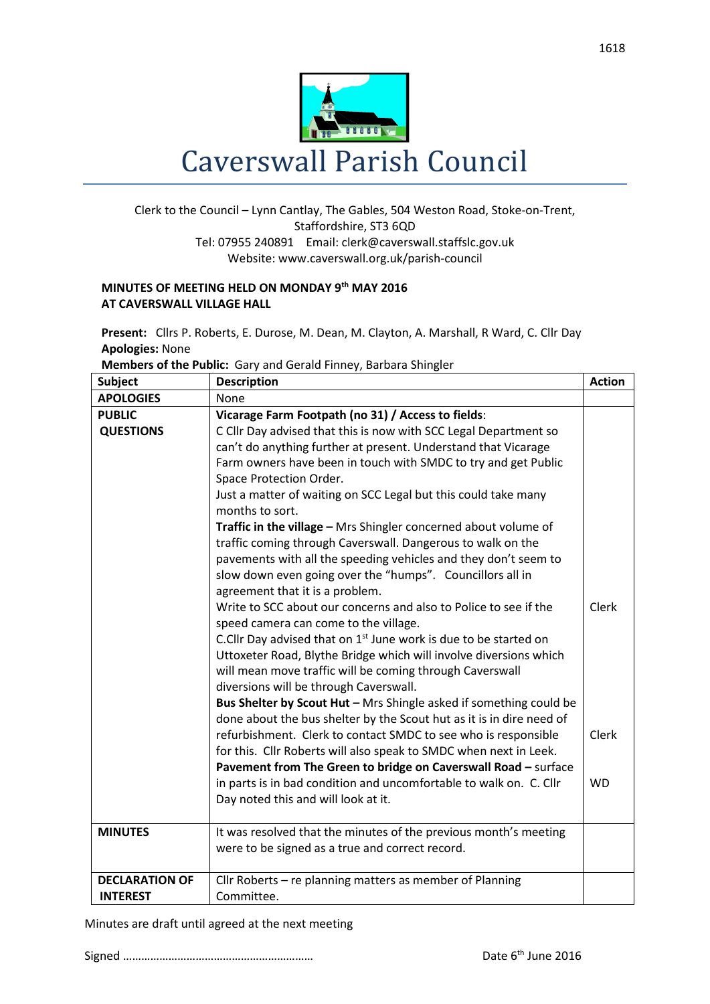

## Clerk to the Council – Lynn Cantlay, The Gables, 504 Weston Road, Stoke-on-Trent, Staffordshire, ST3 6QD Tel: 07955 240891 Email[: clerk@caverswall.staffslc.gov.uk](mailto:clerk@caverswall.staffslc.gov.uk) Website: www.caverswall.org.uk/parish-council

## **MINUTES OF MEETING HELD ON MONDAY 9 th MAY 2016 AT CAVERSWALL VILLAGE HALL**

**Present:** Cllrs P. Roberts, E. Durose, M. Dean, M. Clayton, A. Marshall, R Ward, C. Cllr Day **Apologies:** None

| Members of the Public: Gary and Gerald Finney, Barbara Shingler |  |  |
|-----------------------------------------------------------------|--|--|
|                                                                 |  |  |

| <b>Subject</b>                           | <b>Description</b>                                                                                                                                                                                                                                                                                                                                                                                                                                                                                                                                                                                                                                                                                                                                                   | <b>Action</b>             |
|------------------------------------------|----------------------------------------------------------------------------------------------------------------------------------------------------------------------------------------------------------------------------------------------------------------------------------------------------------------------------------------------------------------------------------------------------------------------------------------------------------------------------------------------------------------------------------------------------------------------------------------------------------------------------------------------------------------------------------------------------------------------------------------------------------------------|---------------------------|
| <b>APOLOGIES</b>                         | None                                                                                                                                                                                                                                                                                                                                                                                                                                                                                                                                                                                                                                                                                                                                                                 |                           |
| <b>PUBLIC</b>                            | Vicarage Farm Footpath (no 31) / Access to fields:                                                                                                                                                                                                                                                                                                                                                                                                                                                                                                                                                                                                                                                                                                                   |                           |
| <b>QUESTIONS</b>                         | C Cllr Day advised that this is now with SCC Legal Department so<br>can't do anything further at present. Understand that Vicarage<br>Farm owners have been in touch with SMDC to try and get Public<br>Space Protection Order.<br>Just a matter of waiting on SCC Legal but this could take many<br>months to sort.<br>Traffic in the village - Mrs Shingler concerned about volume of<br>traffic coming through Caverswall. Dangerous to walk on the<br>pavements with all the speeding vehicles and they don't seem to<br>slow down even going over the "humps". Councillors all in<br>agreement that it is a problem.<br>Write to SCC about our concerns and also to Police to see if the                                                                        | Clerk                     |
|                                          | speed camera can come to the village.<br>C.Cllr Day advised that on 1 <sup>st</sup> June work is due to be started on<br>Uttoxeter Road, Blythe Bridge which will involve diversions which<br>will mean move traffic will be coming through Caverswall<br>diversions will be through Caverswall.<br>Bus Shelter by Scout Hut - Mrs Shingle asked if something could be<br>done about the bus shelter by the Scout hut as it is in dire need of<br>refurbishment. Clerk to contact SMDC to see who is responsible<br>for this. Cllr Roberts will also speak to SMDC when next in Leek.<br>Pavement from The Green to bridge on Caverswall Road - surface<br>in parts is in bad condition and uncomfortable to walk on. C. Cllr<br>Day noted this and will look at it. | <b>Clerk</b><br><b>WD</b> |
| <b>MINUTES</b>                           | It was resolved that the minutes of the previous month's meeting<br>were to be signed as a true and correct record.                                                                                                                                                                                                                                                                                                                                                                                                                                                                                                                                                                                                                                                  |                           |
| <b>DECLARATION OF</b><br><b>INTEREST</b> | Cllr Roberts - re planning matters as member of Planning<br>Committee.                                                                                                                                                                                                                                                                                                                                                                                                                                                                                                                                                                                                                                                                                               |                           |
|                                          |                                                                                                                                                                                                                                                                                                                                                                                                                                                                                                                                                                                                                                                                                                                                                                      |                           |

## Minutes are draft until agreed at the next meeting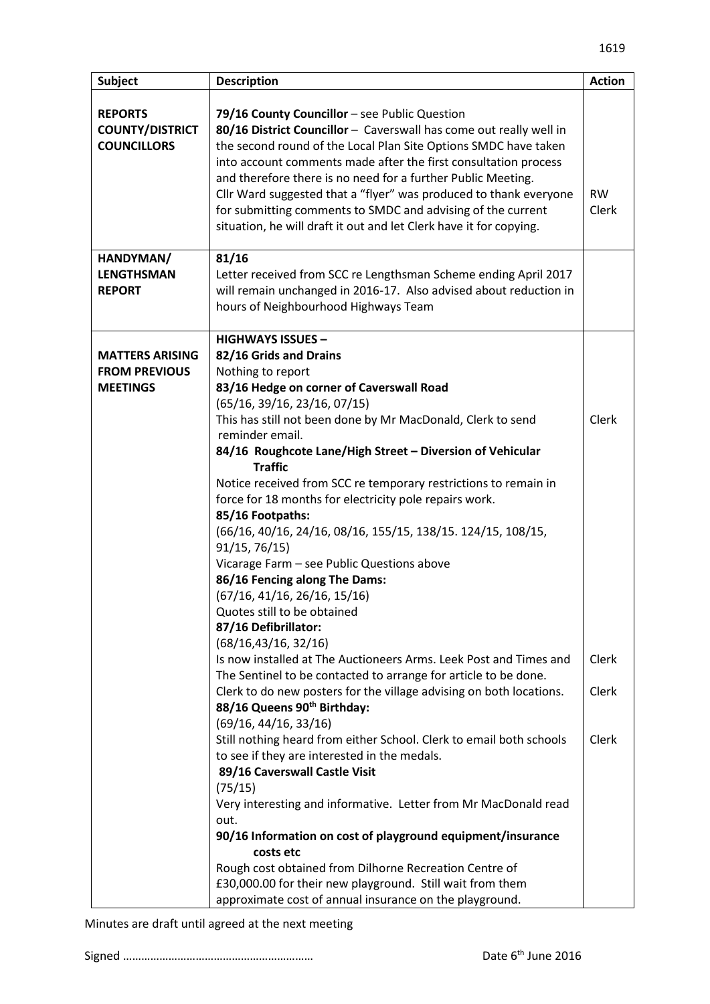| <b>Subject</b>                                                    | <b>Description</b>                                                                                                                                                                                                                                                                                                                                                                                                                                                                                                                                                                                                                                                                                                           | <b>Action</b>      |
|-------------------------------------------------------------------|------------------------------------------------------------------------------------------------------------------------------------------------------------------------------------------------------------------------------------------------------------------------------------------------------------------------------------------------------------------------------------------------------------------------------------------------------------------------------------------------------------------------------------------------------------------------------------------------------------------------------------------------------------------------------------------------------------------------------|--------------------|
| <b>REPORTS</b><br><b>COUNTY/DISTRICT</b><br><b>COUNCILLORS</b>    | 79/16 County Councillor - see Public Question<br>80/16 District Councillor - Caverswall has come out really well in<br>the second round of the Local Plan Site Options SMDC have taken<br>into account comments made after the first consultation process<br>and therefore there is no need for a further Public Meeting.<br>Cllr Ward suggested that a "flyer" was produced to thank everyone<br>for submitting comments to SMDC and advising of the current<br>situation, he will draft it out and let Clerk have it for copying.                                                                                                                                                                                          | <b>RW</b><br>Clerk |
| HANDYMAN/<br><b>LENGTHSMAN</b><br><b>REPORT</b>                   | 81/16<br>Letter received from SCC re Lengthsman Scheme ending April 2017<br>will remain unchanged in 2016-17. Also advised about reduction in<br>hours of Neighbourhood Highways Team                                                                                                                                                                                                                                                                                                                                                                                                                                                                                                                                        |                    |
| <b>MATTERS ARISING</b><br><b>FROM PREVIOUS</b><br><b>MEETINGS</b> | <b>HIGHWAYS ISSUES -</b><br>82/16 Grids and Drains<br>Nothing to report<br>83/16 Hedge on corner of Caverswall Road<br>(65/16, 39/16, 23/16, 07/15)<br>This has still not been done by Mr MacDonald, Clerk to send<br>reminder email.<br>84/16 Roughcote Lane/High Street - Diversion of Vehicular<br><b>Traffic</b><br>Notice received from SCC re temporary restrictions to remain in<br>force for 18 months for electricity pole repairs work.<br>85/16 Footpaths:<br>(66/16, 40/16, 24/16, 08/16, 155/15, 138/15. 124/15, 108/15,<br>91/15, 76/15)<br>Vicarage Farm - see Public Questions above<br>86/16 Fencing along The Dams:<br>(67/16, 41/16, 26/16, 15/16)<br>Quotes still to be obtained<br>87/16 Defibrillator: | Clerk              |
|                                                                   | (68/16, 43/16, 32/16)<br>Is now installed at The Auctioneers Arms. Leek Post and Times and<br>The Sentinel to be contacted to arrange for article to be done.<br>Clerk to do new posters for the village advising on both locations.<br>88/16 Queens 90 <sup>th</sup> Birthday:<br>(69/16, 44/16, 33/16)                                                                                                                                                                                                                                                                                                                                                                                                                     | Clerk<br>Clerk     |
|                                                                   | Still nothing heard from either School. Clerk to email both schools<br>to see if they are interested in the medals.<br>89/16 Caverswall Castle Visit<br>(75/15)<br>Very interesting and informative. Letter from Mr MacDonald read<br>out.<br>90/16 Information on cost of playground equipment/insurance<br>costs etc<br>Rough cost obtained from Dilhorne Recreation Centre of<br>£30,000.00 for their new playground. Still wait from them<br>approximate cost of annual insurance on the playground.                                                                                                                                                                                                                     | Clerk              |

Minutes are draft until agreed at the next meeting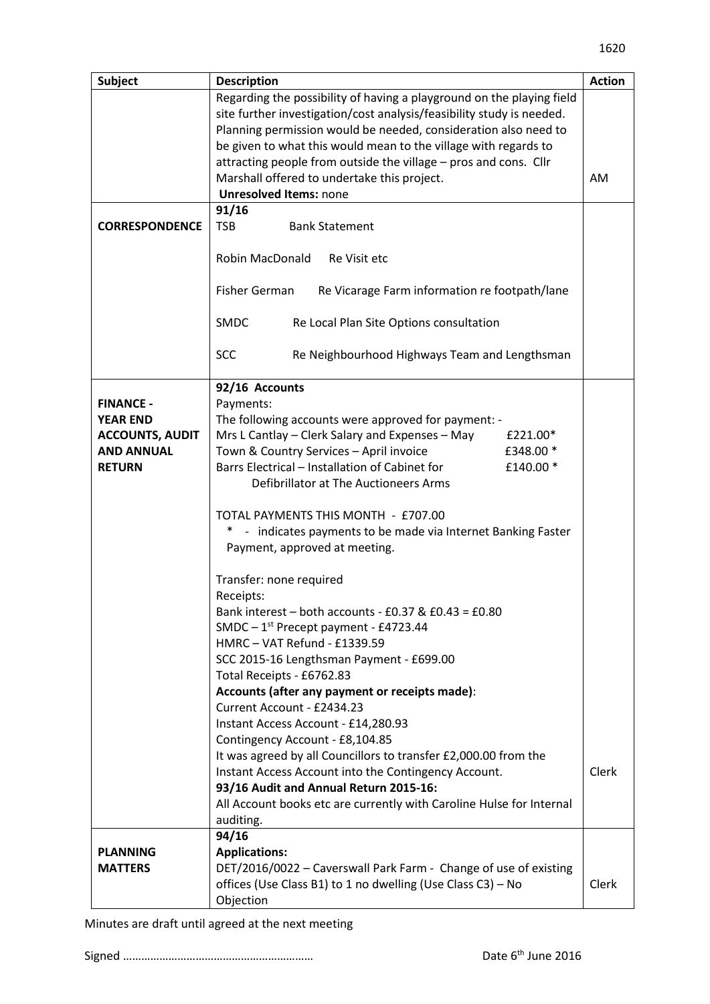| <b>Subject</b>         | <b>Description</b>                                                          | <b>Action</b> |
|------------------------|-----------------------------------------------------------------------------|---------------|
|                        | Regarding the possibility of having a playground on the playing field       |               |
|                        | site further investigation/cost analysis/feasibility study is needed.       |               |
|                        | Planning permission would be needed, consideration also need to             |               |
|                        | be given to what this would mean to the village with regards to             |               |
|                        | attracting people from outside the village - pros and cons. Cllr            |               |
|                        | Marshall offered to undertake this project.                                 | AM            |
|                        | <b>Unresolved Items: none</b>                                               |               |
|                        | 91/16                                                                       |               |
| <b>CORRESPONDENCE</b>  | <b>TSB</b><br><b>Bank Statement</b>                                         |               |
|                        |                                                                             |               |
|                        | Robin MacDonald<br>Re Visit etc                                             |               |
|                        |                                                                             |               |
|                        | Fisher German<br>Re Vicarage Farm information re footpath/lane              |               |
|                        |                                                                             |               |
|                        | <b>SMDC</b><br>Re Local Plan Site Options consultation                      |               |
|                        |                                                                             |               |
|                        | <b>SCC</b><br>Re Neighbourhood Highways Team and Lengthsman                 |               |
|                        |                                                                             |               |
|                        | 92/16 Accounts                                                              |               |
| <b>FINANCE -</b>       | Payments:                                                                   |               |
| <b>YEAR END</b>        | The following accounts were approved for payment: -                         |               |
| <b>ACCOUNTS, AUDIT</b> | Mrs L Cantlay - Clerk Salary and Expenses - May<br>£221.00*                 |               |
| <b>AND ANNUAL</b>      | Town & Country Services - April invoice<br>£348.00 *                        |               |
| <b>RETURN</b>          | Barrs Electrical - Installation of Cabinet for<br>£140.00 *                 |               |
|                        | Defibrillator at The Auctioneers Arms                                       |               |
|                        |                                                                             |               |
|                        | TOTAL PAYMENTS THIS MONTH - £707.00                                         |               |
|                        | - indicates payments to be made via Internet Banking Faster<br>$\ast$       |               |
|                        | Payment, approved at meeting.                                               |               |
|                        |                                                                             |               |
|                        | Transfer: none required                                                     |               |
|                        | Receipts:                                                                   |               |
|                        | Bank interest - both accounts - $E0.37$ & $E0.43 = E0.80$                   |               |
|                        | SMDC $-1st$ Precept payment - £4723.44                                      |               |
|                        | HMRC-VAT Refund - £1339.59                                                  |               |
|                        | SCC 2015-16 Lengthsman Payment - £699.00                                    |               |
|                        | Total Receipts - £6762.83<br>Accounts (after any payment or receipts made): |               |
|                        | Current Account - £2434.23                                                  |               |
|                        | Instant Access Account - £14,280.93                                         |               |
|                        | Contingency Account - £8,104.85                                             |               |
|                        | It was agreed by all Councillors to transfer £2,000.00 from the             |               |
|                        | Instant Access Account into the Contingency Account.                        | Clerk         |
|                        | 93/16 Audit and Annual Return 2015-16:                                      |               |
|                        | All Account books etc are currently with Caroline Hulse for Internal        |               |
|                        | auditing.                                                                   |               |
|                        | 94/16                                                                       |               |
| <b>PLANNING</b>        | <b>Applications:</b>                                                        |               |
| <b>MATTERS</b>         | DET/2016/0022 - Caverswall Park Farm - Change of use of existing            |               |
|                        | offices (Use Class B1) to 1 no dwelling (Use Class C3) - No                 | Clerk         |
|                        | Objection                                                                   |               |

Minutes are draft until agreed at the next meeting